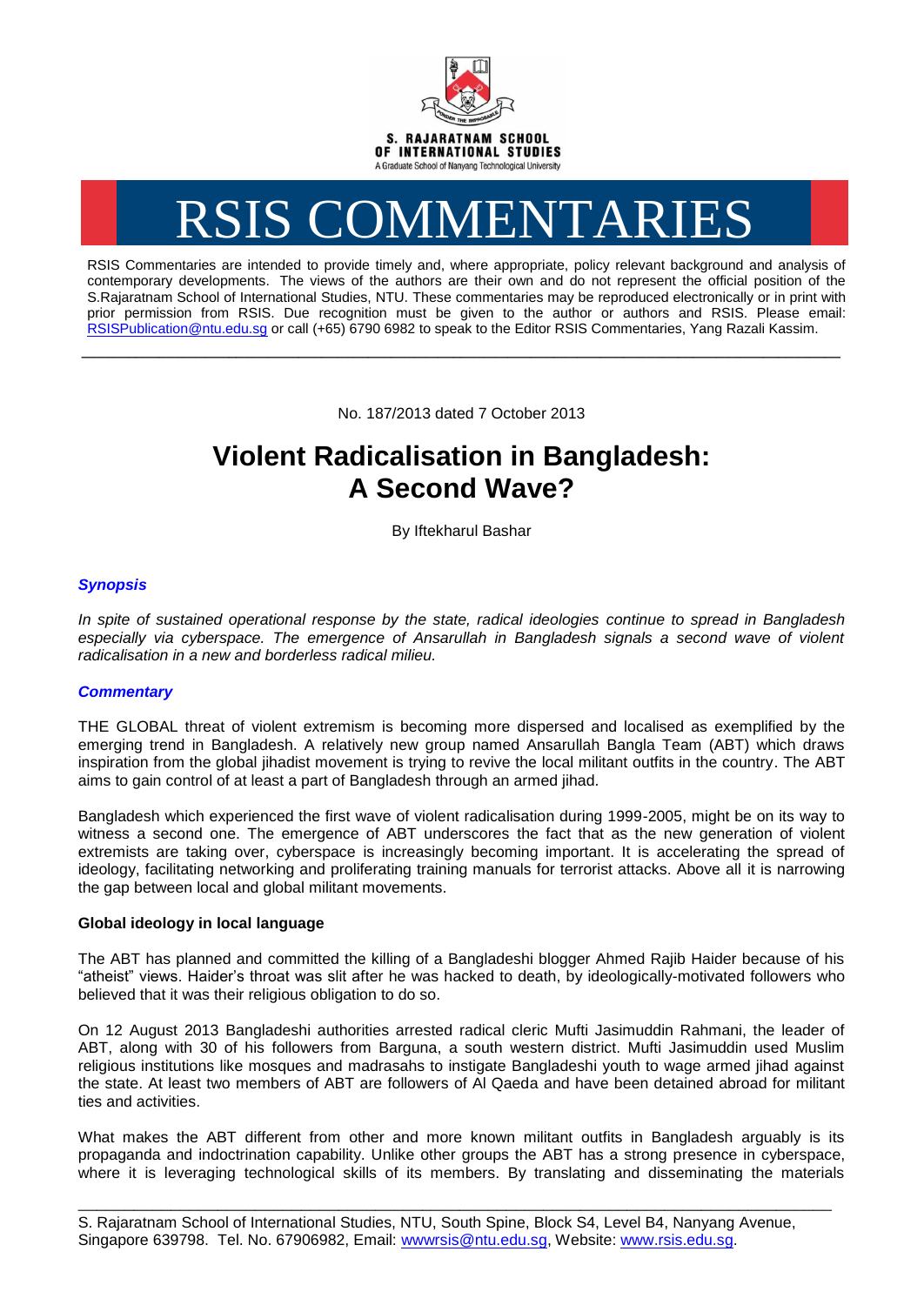

# RSIS COMMENTARIES

RSIS Commentaries are intended to provide timely and, where appropriate, policy relevant background and analysis of contemporary developments. The views of the authors are their own and do not represent the official position of the S.Rajaratnam School of International Studies, NTU. These commentaries may be reproduced electronically or in print with prior permission from RSIS. Due recognition must be given to the author or authors and RSIS. Please email: [RSISPublication@ntu.edu.sg](mailto:RSISPublication@ntu.edu.sg) or call (+65) 6790 6982 to speak to the Editor RSIS Commentaries, Yang Razali Kassim.

No. 187/2013 dated 7 October 2013

**\_\_\_\_\_\_\_\_\_\_\_\_\_\_\_\_\_\_\_\_\_\_\_\_\_\_\_\_\_\_\_\_\_\_\_\_\_\_\_\_\_\_\_\_\_\_\_\_\_\_\_\_\_\_\_\_\_\_\_\_\_\_\_\_\_\_\_\_\_\_\_\_\_\_\_\_\_\_\_\_\_\_\_\_\_\_\_\_\_\_\_\_\_\_\_\_\_\_**

# **Violent Radicalisation in Bangladesh: A Second Wave?**

By Iftekharul Bashar

# *Synopsis*

*In spite of sustained operational response by the state, radical ideologies continue to spread in Bangladesh especially via cyberspace. The emergence of Ansarullah in Bangladesh signals a second wave of violent radicalisation in a new and borderless radical milieu.*

## *Commentary*

THE GLOBAL threat of violent extremism is becoming more dispersed and localised as exemplified by the emerging trend in Bangladesh. A relatively new group named Ansarullah Bangla Team (ABT) which draws inspiration from the global jihadist movement is trying to revive the local militant outfits in the country. The ABT aims to gain control of at least a part of Bangladesh through an armed jihad.

Bangladesh which experienced the first wave of violent radicalisation during 1999-2005, might be on its way to witness a second one. The emergence of ABT underscores the fact that as the new generation of violent extremists are taking over, cyberspace is increasingly becoming important. It is accelerating the spread of ideology, facilitating networking and proliferating training manuals for terrorist attacks. Above all it is narrowing the gap between local and global militant movements.

### **Global ideology in local language**

The ABT has planned and committed the killing of a Bangladeshi blogger Ahmed Rajib Haider because of his "atheist" views. Haider's throat was slit after he was hacked to death, by ideologically-motivated followers who believed that it was their religious obligation to do so.

On 12 August 2013 Bangladeshi authorities arrested radical cleric Mufti Jasimuddin Rahmani, the leader of ABT, along with 30 of his followers from Barguna, a south western district. Mufti Jasimuddin used Muslim religious institutions like mosques and madrasahs to instigate Bangladeshi youth to wage armed jihad against the state. At least two members of ABT are followers of Al Qaeda and have been detained abroad for militant ties and activities.

What makes the ABT different from other and more known militant outfits in Bangladesh arguably is its propaganda and indoctrination capability. Unlike other groups the ABT has a strong presence in cyberspace, where it is leveraging technological skills of its members. By translating and disseminating the materials

\_\_\_\_\_\_\_\_\_\_\_\_\_\_\_\_\_\_\_\_\_\_\_\_\_\_\_\_\_\_\_\_\_\_\_\_\_\_\_\_\_\_\_\_\_\_\_\_\_\_\_\_\_\_\_\_\_\_\_\_\_\_\_\_\_\_\_\_\_\_\_\_\_\_\_\_\_\_\_\_\_